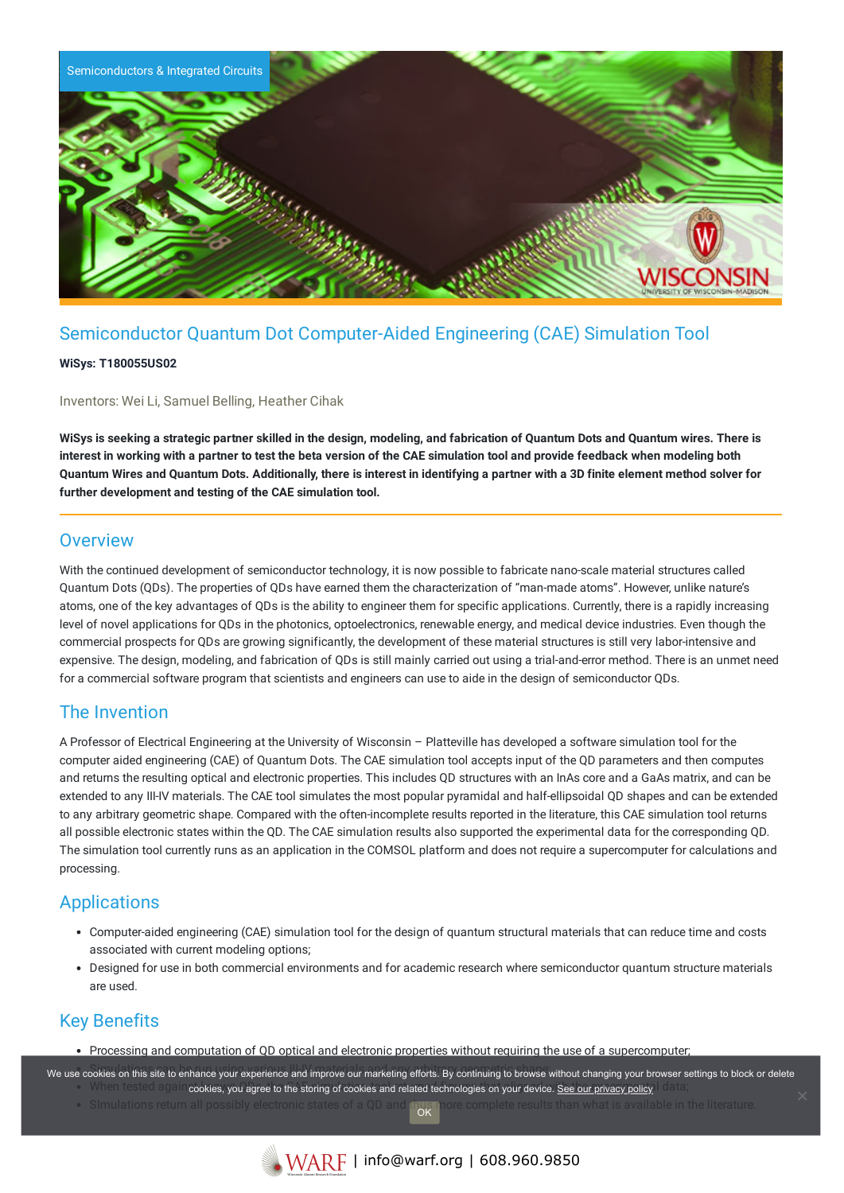

# Semiconductor Quantum Dot Computer-Aided Engineering (CAE) Simulation Tool

#### **WiSys: T180055US02**

Inventors: Wei Li, Samuel Belling, Heather Cihak

WiSys is seeking a strategic partner skilled in the design, modeling, and fabrication of Quantum Dots and Quantum wires. There is interest in working with a partner to test the beta version of the CAE simulation tool and provide feedback when modeling both Quantum Wires and Quantum Dots. Additionally, there is interest in identifying a partner with a 3D finite element method solver for **further development and testing of the CAE simulation tool.**

#### **Overview**

With the continued development of semiconductor technology, it is now possible to fabricate nano-scale material structures called Quantum Dots (QDs). The properties of QDs have earned them the characterization of "man-made atoms". However, unlike nature's atoms, one of the key advantages of QDs is the ability to engineer them for specific applications. Currently, there is a rapidly increasing level of novel applications for QDs in the photonics, optoelectronics, renewable energy, and medical device industries. Even though the commercial prospects for QDs are growing significantly, the development of these material structures is still very labor-intensive and expensive. The design, modeling, and fabrication of QDs is still mainly carried out using a trial-and-error method. There is an unmet need for a commercial software program that scientists and engineers can use to aide in the design of semiconductor QDs.

### The Invention

A Professor of Electrical Engineering at the University of Wisconsin – Platteville has developed a software simulation tool for the computer aided engineering (CAE) of Quantum Dots. The CAE simulation tool accepts input of the QD parameters and then computes and returns the resulting optical and electronic properties. This includes QD structures with an InAs core and a GaAs matrix, and can be extended to any III-IV materials. The CAE tool simulates the most popular pyramidal and half-ellipsoidal QD shapes and can be extended to any arbitrary geometric shape. Compared with the often-incomplete results reported in the literature, this CAE simulation tool returns all possible electronic states within the QD. The CAE simulation results also supported the experimental data for the corresponding QD. The simulation tool currently runs as an application in the COMSOL platform and does not require a supercomputer for calculations and processing.

### Applications

- Computer-aided engineering (CAE) simulation tool for the design of quantum structural materials that can reduce time and costs associated with current modeling options;
- Designed for use in both commercial environments and for academic research where semiconductor quantum structure materials are used.

# Key Benefits

• Processing and computation of QD optical and electronic properties without requiring the use of a supercomputer;

.<br>We use cookies on this site to enhance your experience and improve our marketing efforts. By continuing to browse without changing your browser settings to block or delete When tested again cookies, you agree to the storing of cookies and related technologies on your device. [See our privacy policy](https://www.warf.org/privacy-policy/) data;

• Simulations return all possibly e OK